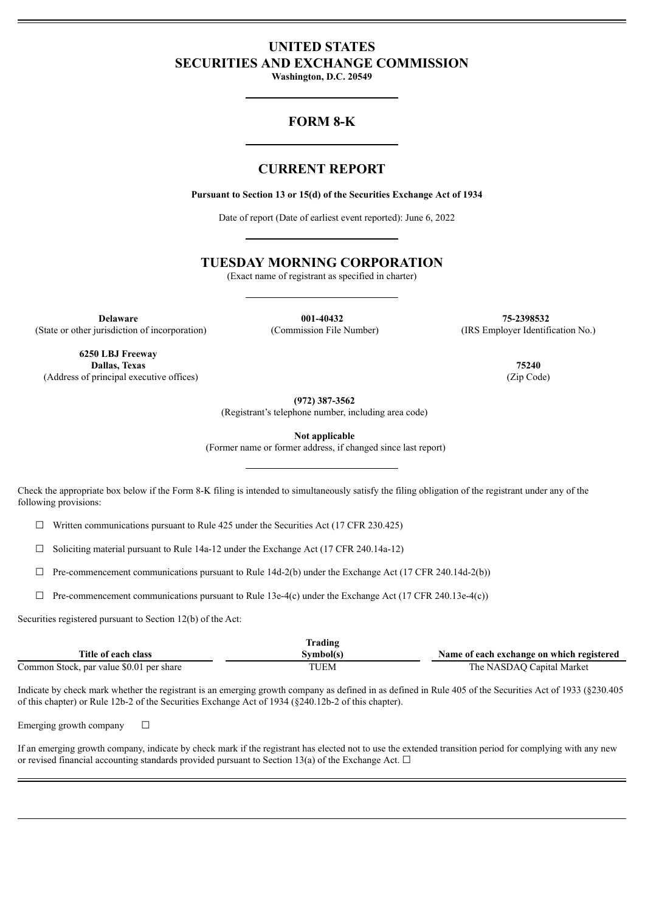# **UNITED STATES SECURITIES AND EXCHANGE COMMISSION**

**Washington, D.C. 20549**

# **FORM 8-K**

# **CURRENT REPORT**

**Pursuant to Section 13 or 15(d) of the Securities Exchange Act of 1934**

Date of report (Date of earliest event reported): June 6, 2022

# **TUESDAY MORNING CORPORATION**

(Exact name of registrant as specified in charter)

**Delaware 001-40432 75-2398532** (State or other jurisdiction of incorporation) (Commission File Number) (IRS Employer Identification No.)

**6250 LBJ Freeway Dallas, Texas 75240** (Address of principal executive offices) (Zip Code)

**(972) 387-3562**

(Registrant's telephone number, including area code)

**Not applicable**

(Former name or former address, if changed since last report)

Check the appropriate box below if the Form 8-K filing is intended to simultaneously satisfy the filing obligation of the registrant under any of the following provisions:

 $\Box$  Written communications pursuant to Rule 425 under the Securities Act (17 CFR 230.425)

 $\Box$  Soliciting material pursuant to Rule 14a-12 under the Exchange Act (17 CFR 240.14a-12)

 $\Box$  Pre-commencement communications pursuant to Rule 14d-2(b) under the Exchange Act (17 CFR 240.14d-2(b))

 $\Box$  Pre-commencement communications pursuant to Rule 13e-4(c) under the Exchange Act (17 CFR 240.13e-4(c))

Securities registered pursuant to Section 12(b) of the Act:

|                                          | Frading   |                                           |
|------------------------------------------|-----------|-------------------------------------------|
| Title of each class                      | Svmbol(s) | Name of each exchange on which registered |
| Common Stock, par value \$0.01 per share | TUEM      | The NASDAO Capital Market                 |

Indicate by check mark whether the registrant is an emerging growth company as defined in as defined in Rule 405 of the Securities Act of 1933 (§230.405 of this chapter) or Rule 12b-2 of the Securities Exchange Act of 1934 (§240.12b-2 of this chapter).

Emerging growth company  $\Box$ 

If an emerging growth company, indicate by check mark if the registrant has elected not to use the extended transition period for complying with any new or revised financial accounting standards provided pursuant to Section 13(a) of the Exchange Act.  $\Box$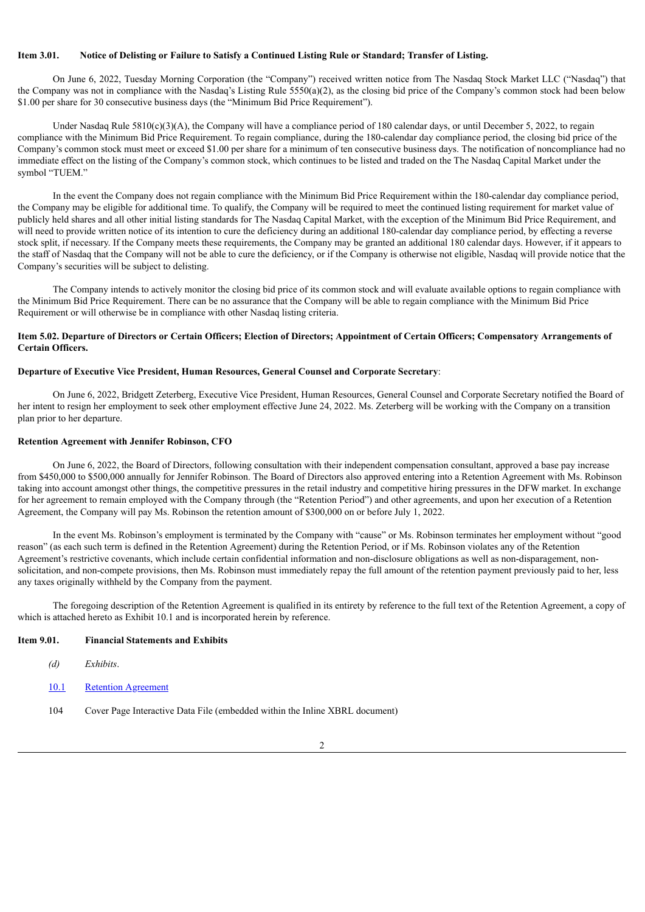# Item 3.01. Notice of Delisting or Failure to Satisfy a Continued Listing Rule or Standard: Transfer of Listing.

On June 6, 2022, Tuesday Morning Corporation (the "Company") received written notice from The Nasdaq Stock Market LLC ("Nasdaq") that the Company was not in compliance with the Nasdaq's Listing Rule 5550(a)(2), as the closing bid price of the Company's common stock had been below \$1.00 per share for 30 consecutive business days (the "Minimum Bid Price Requirement").

Under Nasdaq Rule 5810(c)(3)(A), the Company will have a compliance period of 180 calendar days, or until December 5, 2022, to regain compliance with the Minimum Bid Price Requirement. To regain compliance, during the 180-calendar day compliance period, the closing bid price of the Company's common stock must meet or exceed \$1.00 per share for a minimum of ten consecutive business days. The notification of noncompliance had no immediate effect on the listing of the Company's common stock, which continues to be listed and traded on the The Nasdaq Capital Market under the symbol "TUEM."

In the event the Company does not regain compliance with the Minimum Bid Price Requirement within the 180-calendar day compliance period, the Company may be eligible for additional time. To qualify, the Company will be required to meet the continued listing requirement for market value of publicly held shares and all other initial listing standards for The Nasdaq Capital Market, with the exception of the Minimum Bid Price Requirement, and will need to provide written notice of its intention to cure the deficiency during an additional 180-calendar day compliance period, by effecting a reverse stock split, if necessary. If the Company meets these requirements, the Company may be granted an additional 180 calendar days. However, if it appears to the staff of Nasdaq that the Company will not be able to cure the deficiency, or if the Company is otherwise not eligible, Nasdaq will provide notice that the Company's securities will be subject to delisting.

The Company intends to actively monitor the closing bid price of its common stock and will evaluate available options to regain compliance with the Minimum Bid Price Requirement. There can be no assurance that the Company will be able to regain compliance with the Minimum Bid Price Requirement or will otherwise be in compliance with other Nasdaq listing criteria.

## Item 5.02. Departure of Directors or Certain Officers; Election of Directors; Appointment of Certain Officers; Compensatory Arrangements of **Certain Officers.**

#### **Departure of Executive Vice President, Human Resources, General Counsel and Corporate Secretary**:

On June 6, 2022, Bridgett Zeterberg, Executive Vice President, Human Resources, General Counsel and Corporate Secretary notified the Board of her intent to resign her employment to seek other employment effective June 24, 2022. Ms. Zeterberg will be working with the Company on a transition plan prior to her departure.

#### **Retention Agreement with Jennifer Robinson, CFO**

On June 6, 2022, the Board of Directors, following consultation with their independent compensation consultant, approved a base pay increase from \$450,000 to \$500,000 annually for Jennifer Robinson. The Board of Directors also approved entering into a Retention Agreement with Ms. Robinson taking into account amongst other things, the competitive pressures in the retail industry and competitive hiring pressures in the DFW market. In exchange for her agreement to remain employed with the Company through (the "Retention Period") and other agreements, and upon her execution of a Retention Agreement, the Company will pay Ms. Robinson the retention amount of \$300,000 on or before July 1, 2022.

In the event Ms. Robinson's employment is terminated by the Company with "cause" or Ms. Robinson terminates her employment without "good reason" (as each such term is defined in the Retention Agreement) during the Retention Period, or if Ms. Robinson violates any of the Retention Agreement's restrictive covenants, which include certain confidential information and non-disclosure obligations as well as non-disparagement, nonsolicitation, and non-compete provisions, then Ms. Robinson must immediately repay the full amount of the retention payment previously paid to her, less any taxes originally withheld by the Company from the payment.

The foregoing description of the Retention Agreement is qualified in its entirety by reference to the full text of the Retention Agreement, a copy of which is attached hereto as Exhibit 10.1 and is incorporated herein by reference.

## **Item 9.01. Financial Statements and Exhibits**

- *(d) Exhibits*.
- [10.1](#page-3-0) Retention [Agreement](#page-3-0)
- 104 Cover Page Interactive Data File (embedded within the Inline XBRL document)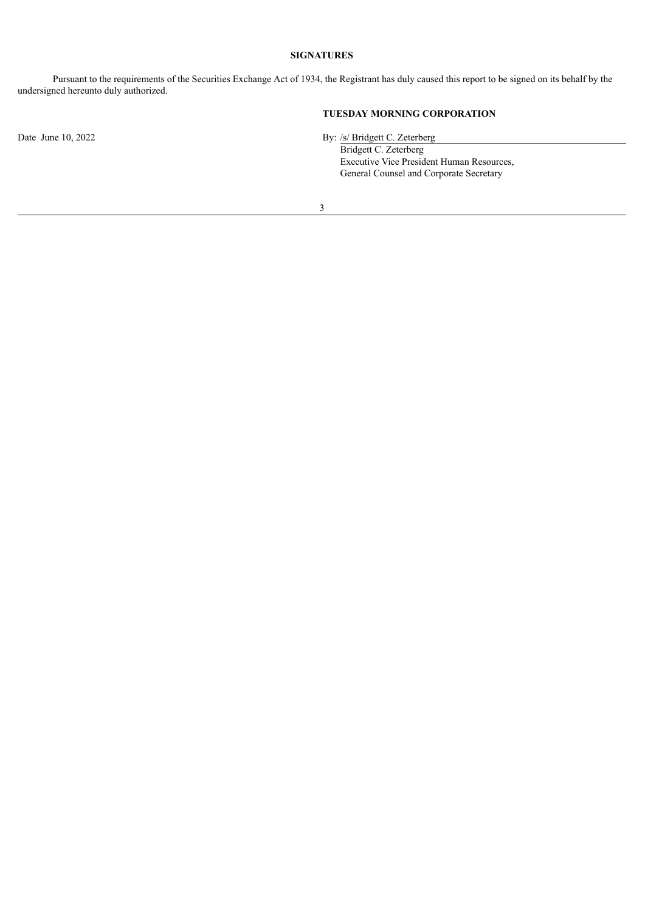# **SIGNATURES**

Pursuant to the requirements of the Securities Exchange Act of 1934, the Registrant has duly caused this report to be signed on its behalf by the undersigned hereunto duly authorized.

# **TUESDAY MORNING CORPORATION**

Date June 10, 2022 By: /s/ Bridgett C. Zeterberg

Bridgett C. Zeterberg Executive Vice President Human Resources, General Counsel and Corporate Secretary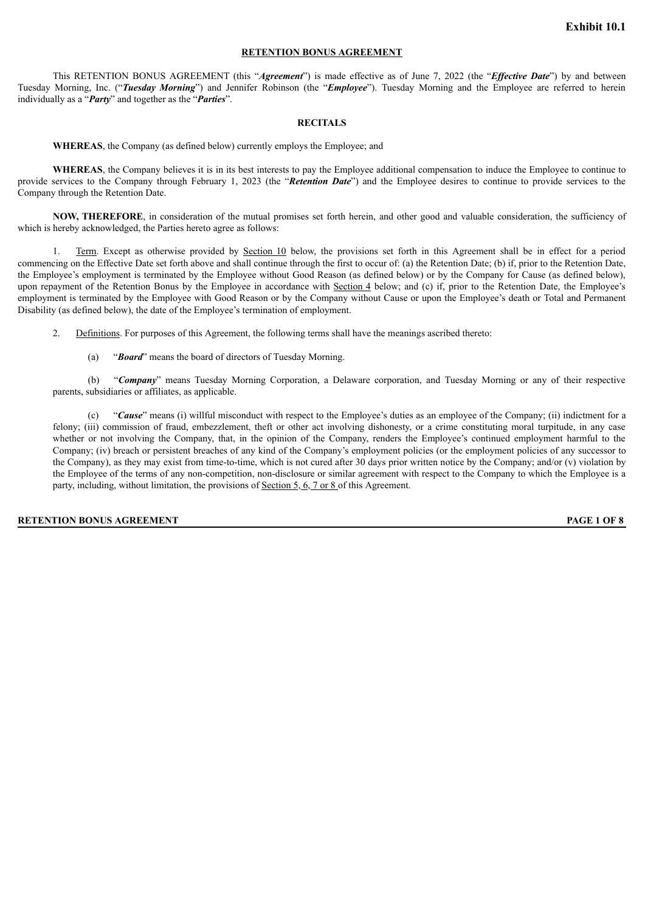# **RETENTION BONUS AGREEMENT**

<span id="page-3-0"></span>This RETENTION BONUS AGREEMENT (this "*Agreement*") is made effective as of June 7, 2022 (the "*Effective Date*") by and between Tuesday Morning, Inc. ("*Tuesday Morning*") and Jennifer Robinson (the "*Employee*"). Tuesday Morning and the Employee are referred to herein individually as a "*Party*" and together as the "*Parties*".

#### **RECITALS**

**WHEREAS**, the Company (as defined below) currently employs the Employee; and

**WHEREAS**, the Company believes it is in its best interests to pay the Employee additional compensation to induce the Employee to continue to provide services to the Company through February 1, 2023 (the "*Retention Date*") and the Employee desires to continue to provide services to the Company through the Retention Date.

**NOW, THEREFORE**, in consideration of the mutual promises set forth herein, and other good and valuable consideration, the sufficiency of which is hereby acknowledged, the Parties hereto agree as follows:

1. Term. Except as otherwise provided by Section 10 below, the provisions set forth in this Agreement shall be in effect for a period commencing on the Effective Date set forth above and shall continue through the first to occur of: (a) the Retention Date; (b) if, prior to the Retention Date, the Employee's employment is terminated by the Employee without Good Reason (as defined below) or by the Company for Cause (as defined below), upon repayment of the Retention Bonus by the Employee in accordance with Section 4 below; and (c) if, prior to the Retention Date, the Employee's employment is terminated by the Employee with Good Reason or by the Company without Cause or upon the Employee's death or Total and Permanent Disability (as defined below), the date of the Employee's termination of employment.

2. Definitions. For purposes of this Agreement, the following terms shall have the meanings ascribed thereto:

(a) "*Board*" means the board of directors of Tuesday Morning.

(b) "*Company*" means Tuesday Morning Corporation, a Delaware corporation, and Tuesday Morning or any of their respective parents, subsidiaries or affiliates, as applicable.

(c) "*Cause*" means (i) willful misconduct with respect to the Employee's duties as an employee of the Company; (ii) indictment for a felony; (iii) commission of fraud, embezzlement, theft or other act involving dishonesty, or a crime constituting moral turpitude, in any case whether or not involving the Company, that, in the opinion of the Company, renders the Employee's continued employment harmful to the Company; (iv) breach or persistent breaches of any kind of the Company's employment policies (or the employment policies of any successor to the Company), as they may exist from time-to-time, which is not cured after 30 days prior written notice by the Company; and/or (v) violation by the Employee of the terms of any non-competition, non-disclosure or similar agreement with respect to the Company to which the Employee is a party, including, without limitation, the provisions of Section 5, 6, 7 or 8 of this Agreement.

#### **RETENTION BONUS AGREEMENT PAGE 1 OF 8**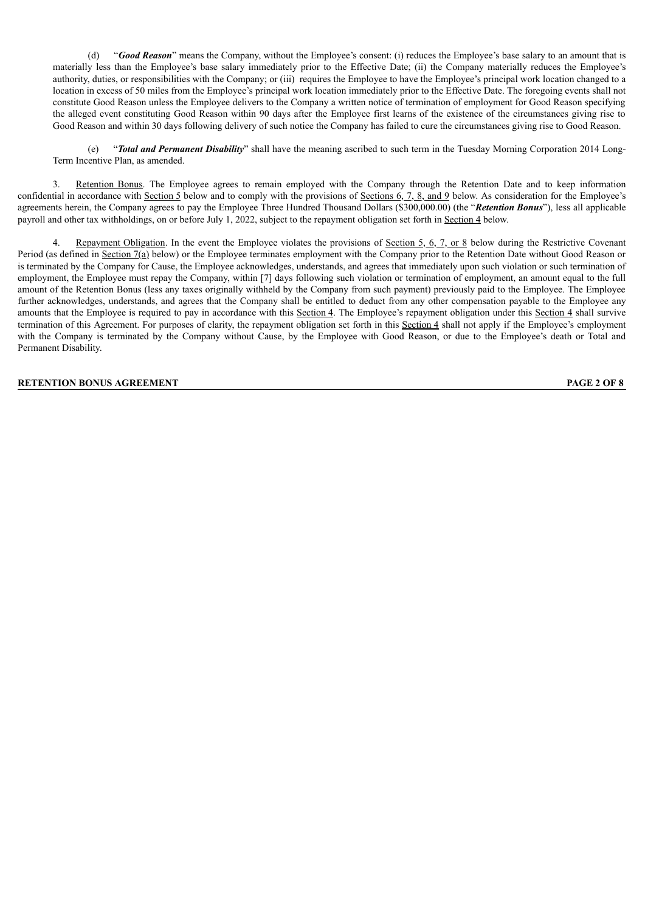(d) "*Good Reason*" means the Company, without the Employee's consent: (i) reduces the Employee's base salary to an amount that is materially less than the Employee's base salary immediately prior to the Effective Date; (ii) the Company materially reduces the Employee's authority, duties, or responsibilities with the Company; or (iii) requires the Employee to have the Employee's principal work location changed to a location in excess of 50 miles from the Employee's principal work location immediately prior to the Effective Date. The foregoing events shall not constitute Good Reason unless the Employee delivers to the Company a written notice of termination of employment for Good Reason specifying the alleged event constituting Good Reason within 90 days after the Employee first learns of the existence of the circumstances giving rise to Good Reason and within 30 days following delivery of such notice the Company has failed to cure the circumstances giving rise to Good Reason.

(e) "*Total and Permanent Disability*" shall have the meaning ascribed to such term in the Tuesday Morning Corporation 2014 Long-Term Incentive Plan, as amended.

3. Retention Bonus. The Employee agrees to remain employed with the Company through the Retention Date and to keep information confidential in accordance with Section 5 below and to comply with the provisions of Sections  $6, 7, 8,$  and 9 below. As consideration for the Employee's agreements herein, the Company agrees to pay the Employee Three Hundred Thousand Dollars (\$300,000.00) (the "*Retention Bonus*"), less all applicable payroll and other tax withholdings, on or before July 1, 2022, subject to the repayment obligation set forth in Section 4 below.

Repayment Obligation. In the event the Employee violates the provisions of <u>Section 5, 6, 7, or 8</u> below during the Restrictive Covenant Period (as defined in Section 7(a) below) or the Employee terminates employment with the Company prior to the Retention Date without Good Reason or is terminated by the Company for Cause, the Employee acknowledges, understands, and agrees that immediately upon such violation or such termination of employment, the Employee must repay the Company, within [7] days following such violation or termination of employment, an amount equal to the full amount of the Retention Bonus (less any taxes originally withheld by the Company from such payment) previously paid to the Employee. The Employee further acknowledges, understands, and agrees that the Company shall be entitled to deduct from any other compensation payable to the Employee any amounts that the Employee is required to pay in accordance with this Section 4. The Employee's repayment obligation under this Section 4 shall survive termination of this Agreement. For purposes of clarity, the repayment obligation set forth in this Section 4 shall not apply if the Employee's employment with the Company is terminated by the Company without Cause, by the Employee with Good Reason, or due to the Employee's death or Total and Permanent Disability.

# **RETENTION BONUS AGREEMENT PAGE 2 OF 8**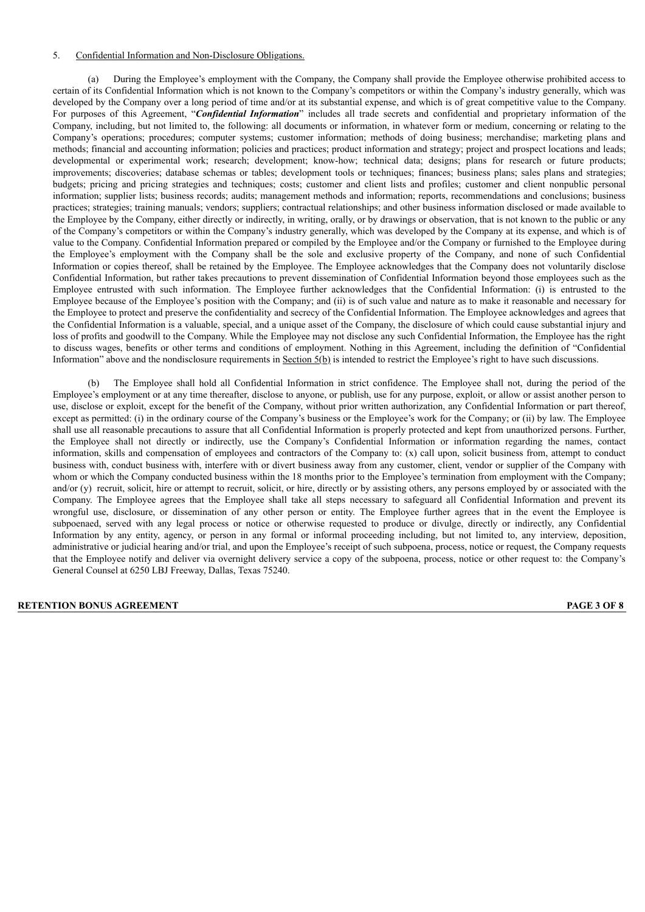## 5. Confidential Information and Non-Disclosure Obligations.

(a) During the Employee's employment with the Company, the Company shall provide the Employee otherwise prohibited access to certain of its Confidential Information which is not known to the Company's competitors or within the Company's industry generally, which was developed by the Company over a long period of time and/or at its substantial expense, and which is of great competitive value to the Company. For purposes of this Agreement, "*Confidential Information*" includes all trade secrets and confidential and proprietary information of the Company, including, but not limited to, the following: all documents or information, in whatever form or medium, concerning or relating to the Company's operations; procedures; computer systems; customer information; methods of doing business; merchandise; marketing plans and methods; financial and accounting information; policies and practices; product information and strategy; project and prospect locations and leads; developmental or experimental work; research; development; know-how; technical data; designs; plans for research or future products; improvements; discoveries; database schemas or tables; development tools or techniques; finances; business plans; sales plans and strategies; budgets; pricing and pricing strategies and techniques; costs; customer and client lists and profiles; customer and client nonpublic personal information; supplier lists; business records; audits; management methods and information; reports, recommendations and conclusions; business practices; strategies; training manuals; vendors; suppliers; contractual relationships; and other business information disclosed or made available to the Employee by the Company, either directly or indirectly, in writing, orally, or by drawings or observation, that is not known to the public or any of the Company's competitors or within the Company's industry generally, which was developed by the Company at its expense, and which is of value to the Company. Confidential Information prepared or compiled by the Employee and/or the Company or furnished to the Employee during the Employee's employment with the Company shall be the sole and exclusive property of the Company, and none of such Confidential Information or copies thereof, shall be retained by the Employee. The Employee acknowledges that the Company does not voluntarily disclose Confidential Information, but rather takes precautions to prevent dissemination of Confidential Information beyond those employees such as the Employee entrusted with such information. The Employee further acknowledges that the Confidential Information: (i) is entrusted to the Employee because of the Employee's position with the Company; and (ii) is of such value and nature as to make it reasonable and necessary for the Employee to protect and preserve the confidentiality and secrecy of the Confidential Information. The Employee acknowledges and agrees that the Confidential Information is a valuable, special, and a unique asset of the Company, the disclosure of which could cause substantial injury and loss of profits and goodwill to the Company. While the Employee may not disclose any such Confidential Information, the Employee has the right to discuss wages, benefits or other terms and conditions of employment. Nothing in this Agreement, including the definition of "Confidential Information" above and the nondisclosure requirements in Section  $5(b)$  is intended to restrict the Employee's right to have such discussions.

(b) The Employee shall hold all Confidential Information in strict confidence. The Employee shall not, during the period of the Employee's employment or at any time thereafter, disclose to anyone, or publish, use for any purpose, exploit, or allow or assist another person to use, disclose or exploit, except for the benefit of the Company, without prior written authorization, any Confidential Information or part thereof, except as permitted: (i) in the ordinary course of the Company's business or the Employee's work for the Company; or (ii) by law. The Employee shall use all reasonable precautions to assure that all Confidential Information is properly protected and kept from unauthorized persons. Further, the Employee shall not directly or indirectly, use the Company's Confidential Information or information regarding the names, contact information, skills and compensation of employees and contractors of the Company to: (x) call upon, solicit business from, attempt to conduct business with, conduct business with, interfere with or divert business away from any customer, client, vendor or supplier of the Company with whom or which the Company conducted business within the 18 months prior to the Employee's termination from employment with the Company; and/or (y) recruit, solicit, hire or attempt to recruit, solicit, or hire, directly or by assisting others, any persons employed by or associated with the Company. The Employee agrees that the Employee shall take all steps necessary to safeguard all Confidential Information and prevent its wrongful use, disclosure, or dissemination of any other person or entity. The Employee further agrees that in the event the Employee is subpoenaed, served with any legal process or notice or otherwise requested to produce or divulge, directly or indirectly, any Confidential Information by any entity, agency, or person in any formal or informal proceeding including, but not limited to, any interview, deposition, administrative or judicial hearing and/or trial, and upon the Employee's receipt of such subpoena, process, notice or request, the Company requests that the Employee notify and deliver via overnight delivery service a copy of the subpoena, process, notice or other request to: the Company's General Counsel at 6250 LBJ Freeway, Dallas, Texas 75240.

#### **RETENTION BONUS AGREEMENT PAGE 3 OF 8**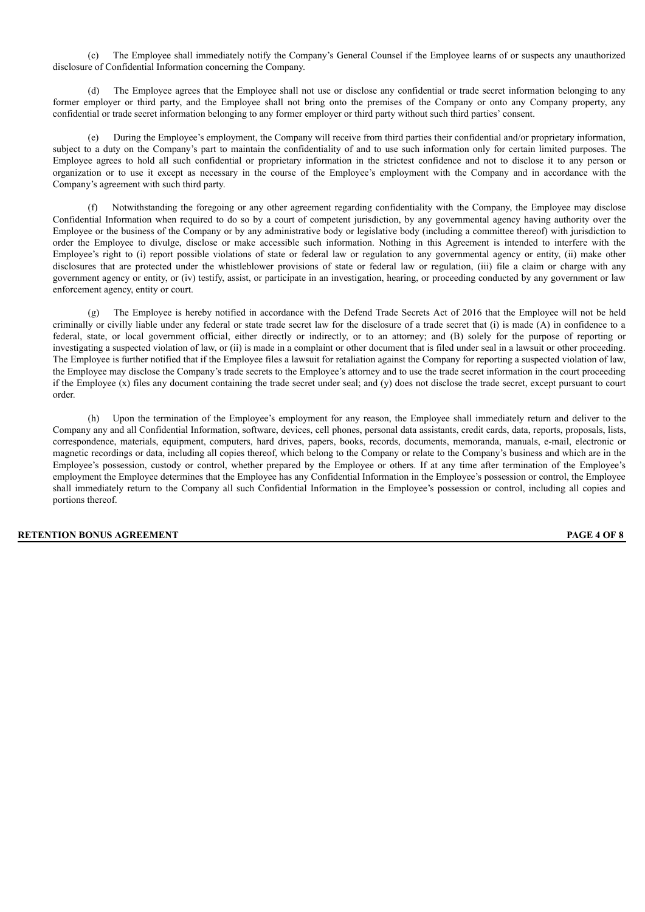(c) The Employee shall immediately notify the Company's General Counsel if the Employee learns of or suspects any unauthorized disclosure of Confidential Information concerning the Company.

The Employee agrees that the Employee shall not use or disclose any confidential or trade secret information belonging to any former employer or third party, and the Employee shall not bring onto the premises of the Company or onto any Company property, any confidential or trade secret information belonging to any former employer or third party without such third parties' consent.

(e) During the Employee's employment, the Company will receive from third parties their confidential and/or proprietary information, subject to a duty on the Company's part to maintain the confidentiality of and to use such information only for certain limited purposes. The Employee agrees to hold all such confidential or proprietary information in the strictest confidence and not to disclose it to any person or organization or to use it except as necessary in the course of the Employee's employment with the Company and in accordance with the Company's agreement with such third party.

(f) Notwithstanding the foregoing or any other agreement regarding confidentiality with the Company, the Employee may disclose Confidential Information when required to do so by a court of competent jurisdiction, by any governmental agency having authority over the Employee or the business of the Company or by any administrative body or legislative body (including a committee thereof) with jurisdiction to order the Employee to divulge, disclose or make accessible such information. Nothing in this Agreement is intended to interfere with the Employee's right to (i) report possible violations of state or federal law or regulation to any governmental agency or entity, (ii) make other disclosures that are protected under the whistleblower provisions of state or federal law or regulation, (iii) file a claim or charge with any government agency or entity, or (iv) testify, assist, or participate in an investigation, hearing, or proceeding conducted by any government or law enforcement agency, entity or court.

(g) The Employee is hereby notified in accordance with the Defend Trade Secrets Act of 2016 that the Employee will not be held criminally or civilly liable under any federal or state trade secret law for the disclosure of a trade secret that (i) is made (A) in confidence to a federal, state, or local government official, either directly or indirectly, or to an attorney; and (B) solely for the purpose of reporting or investigating a suspected violation of law, or (ii) is made in a complaint or other document that is filed under seal in a lawsuit or other proceeding. The Employee is further notified that if the Employee files a lawsuit for retaliation against the Company for reporting a suspected violation of law, the Employee may disclose the Company's trade secrets to the Employee's attorney and to use the trade secret information in the court proceeding if the Employee  $(x)$  files any document containing the trade secret under seal; and  $(y)$  does not disclose the trade secret, except pursuant to court order.

(h) Upon the termination of the Employee's employment for any reason, the Employee shall immediately return and deliver to the Company any and all Confidential Information, software, devices, cell phones, personal data assistants, credit cards, data, reports, proposals, lists, correspondence, materials, equipment, computers, hard drives, papers, books, records, documents, memoranda, manuals, e-mail, electronic or magnetic recordings or data, including all copies thereof, which belong to the Company or relate to the Company's business and which are in the Employee's possession, custody or control, whether prepared by the Employee or others. If at any time after termination of the Employee's employment the Employee determines that the Employee has any Confidential Information in the Employee's possession or control, the Employee shall immediately return to the Company all such Confidential Information in the Employee's possession or control, including all copies and portions thereof.

## **RETENTION BONUS AGREEMENT PAGE 4 OF 8**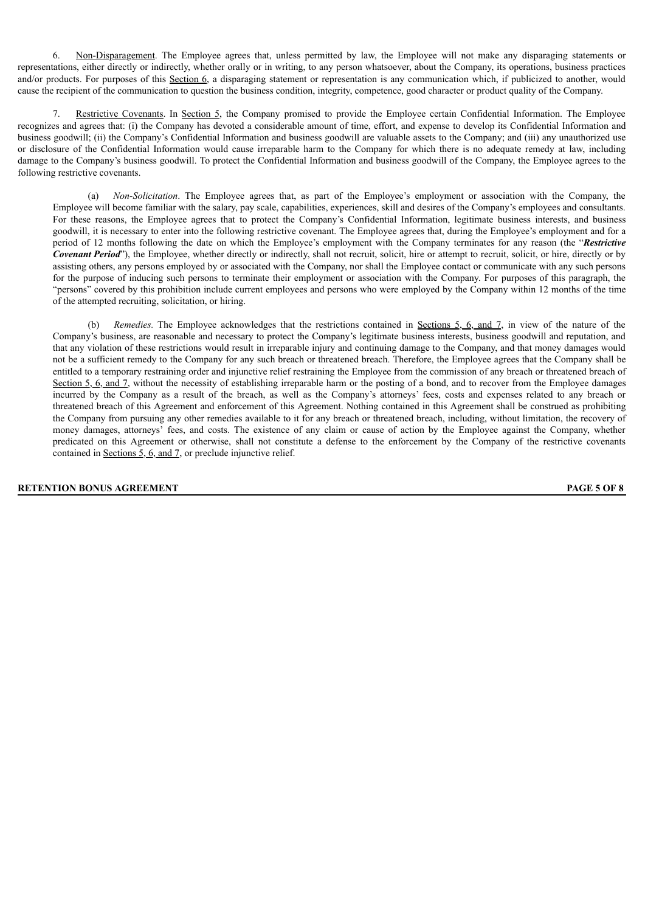6. Non-Disparagement. The Employee agrees that, unless permitted by law, the Employee will not make any disparaging statements or representations, either directly or indirectly, whether orally or in writing, to any person whatsoever, about the Company, its operations, business practices and/or products. For purposes of this Section 6, a disparaging statement or representation is any communication which, if publicized to another, would cause the recipient of the communication to question the business condition, integrity, competence, good character or product quality of the Company.

Restrictive Covenants. In Section 5, the Company promised to provide the Employee certain Confidential Information. The Employee recognizes and agrees that: (i) the Company has devoted a considerable amount of time, effort, and expense to develop its Confidential Information and business goodwill; (ii) the Company's Confidential Information and business goodwill are valuable assets to the Company; and (iii) any unauthorized use or disclosure of the Confidential Information would cause irreparable harm to the Company for which there is no adequate remedy at law, including damage to the Company's business goodwill. To protect the Confidential Information and business goodwill of the Company, the Employee agrees to the following restrictive covenants.

(a) *Non-Solicitation*. The Employee agrees that, as part of the Employee's employment or association with the Company, the Employee will become familiar with the salary, pay scale, capabilities, experiences, skill and desires of the Company's employees and consultants. For these reasons, the Employee agrees that to protect the Company's Confidential Information, legitimate business interests, and business goodwill, it is necessary to enter into the following restrictive covenant. The Employee agrees that, during the Employee's employment and for a period of 12 months following the date on which the Employee's employment with the Company terminates for any reason (the "*Restrictive Covenant Period*"), the Employee, whether directly or indirectly, shall not recruit, solicit, hire or attempt to recruit, solicit, or hire, directly or by assisting others, any persons employed by or associated with the Company, nor shall the Employee contact or communicate with any such persons for the purpose of inducing such persons to terminate their employment or association with the Company. For purposes of this paragraph, the "persons" covered by this prohibition include current employees and persons who were employed by the Company within 12 months of the time of the attempted recruiting, solicitation, or hiring.

*Remedies.* The Employee acknowledges that the restrictions contained in <u>Sections 5, 6, and 7</u>, in view of the nature of the Company's business, are reasonable and necessary to protect the Company's legitimate business interests, business goodwill and reputation, and that any violation of these restrictions would result in irreparable injury and continuing damage to the Company, and that money damages would not be a sufficient remedy to the Company for any such breach or threatened breach. Therefore, the Employee agrees that the Company shall be entitled to a temporary restraining order and injunctive relief restraining the Employee from the commission of any breach or threatened breach of Section 5, 6, and 7, without the necessity of establishing irreparable harm or the posting of a bond, and to recover from the Employee damages incurred by the Company as a result of the breach, as well as the Company's attorneys' fees, costs and expenses related to any breach or threatened breach of this Agreement and enforcement of this Agreement. Nothing contained in this Agreement shall be construed as prohibiting the Company from pursuing any other remedies available to it for any breach or threatened breach, including, without limitation, the recovery of money damages, attorneys' fees, and costs. The existence of any claim or cause of action by the Employee against the Company, whether predicated on this Agreement or otherwise, shall not constitute a defense to the enforcement by the Company of the restrictive covenants contained in Sections 5, 6, and 7, or preclude injunctive relief.

## **RETENTION BONUS AGREEMENT PAGE 5 OF 8**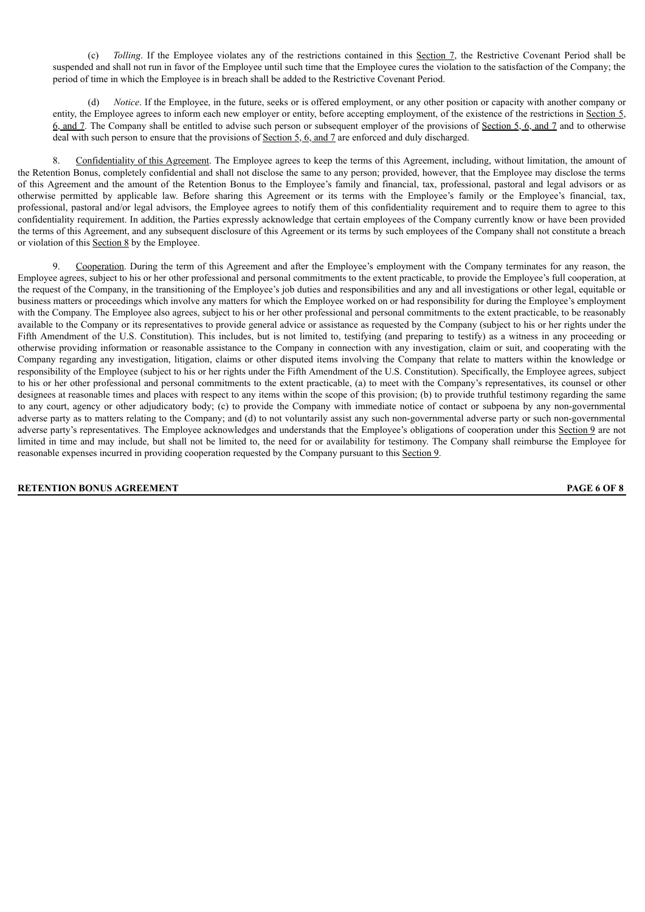(c) *Tolling*. If the Employee violates any of the restrictions contained in this Section 7, the Restrictive Covenant Period shall be suspended and shall not run in favor of the Employee until such time that the Employee cures the violation to the satisfaction of the Company; the period of time in which the Employee is in breach shall be added to the Restrictive Covenant Period.

(d) *Notice*. If the Employee, in the future, seeks or is offered employment, or any other position or capacity with another company or entity, the Employee agrees to inform each new employer or entity, before accepting employment, of the existence of the restrictions in Section 5, 6, and 7. The Company shall be entitled to advise such person or subsequent employer of the provisions of Section 5, 6, and 7 and to otherwise deal with such person to ensure that the provisions of Section 5, 6, and 7 are enforced and duly discharged.

8. Confidentiality of this Agreement. The Employee agrees to keep the terms of this Agreement, including, without limitation, the amount of the Retention Bonus, completely confidential and shall not disclose the same to any person; provided, however, that the Employee may disclose the terms of this Agreement and the amount of the Retention Bonus to the Employee's family and financial, tax, professional, pastoral and legal advisors or as otherwise permitted by applicable law. Before sharing this Agreement or its terms with the Employee's family or the Employee's financial, tax, professional, pastoral and/or legal advisors, the Employee agrees to notify them of this confidentiality requirement and to require them to agree to this confidentiality requirement. In addition, the Parties expressly acknowledge that certain employees of the Company currently know or have been provided the terms of this Agreement, and any subsequent disclosure of this Agreement or its terms by such employees of the Company shall not constitute a breach or violation of this Section 8 by the Employee.

Cooperation. During the term of this Agreement and after the Employee's employment with the Company terminates for any reason, the Employee agrees, subject to his or her other professional and personal commitments to the extent practicable, to provide the Employee's full cooperation, at the request of the Company, in the transitioning of the Employee's job duties and responsibilities and any and all investigations or other legal, equitable or business matters or proceedings which involve any matters for which the Employee worked on or had responsibility for during the Employee's employment with the Company. The Employee also agrees, subject to his or her other professional and personal commitments to the extent practicable, to be reasonably available to the Company or its representatives to provide general advice or assistance as requested by the Company (subject to his or her rights under the Fifth Amendment of the U.S. Constitution). This includes, but is not limited to, testifying (and preparing to testify) as a witness in any proceeding or otherwise providing information or reasonable assistance to the Company in connection with any investigation, claim or suit, and cooperating with the Company regarding any investigation, litigation, claims or other disputed items involving the Company that relate to matters within the knowledge or responsibility of the Employee (subject to his or her rights under the Fifth Amendment of the U.S. Constitution). Specifically, the Employee agrees, subject to his or her other professional and personal commitments to the extent practicable, (a) to meet with the Company's representatives, its counsel or other designees at reasonable times and places with respect to any items within the scope of this provision; (b) to provide truthful testimony regarding the same to any court, agency or other adjudicatory body; (c) to provide the Company with immediate notice of contact or subpoena by any non-governmental adverse party as to matters relating to the Company; and (d) to not voluntarily assist any such non-governmental adverse party or such non-governmental adverse party's representatives. The Employee acknowledges and understands that the Employee's obligations of cooperation under this Section 9 are not limited in time and may include, but shall not be limited to, the need for or availability for testimony. The Company shall reimburse the Employee for reasonable expenses incurred in providing cooperation requested by the Company pursuant to this Section 9.

## **RETENTION BONUS AGREEMENT PAGE 6 OF 8**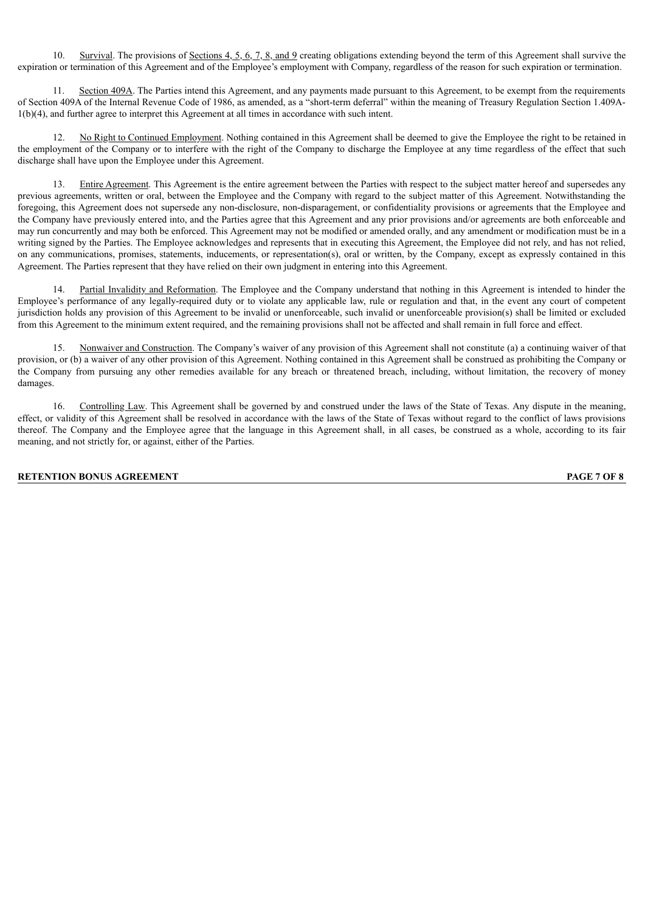10. Survival. The provisions of Sections 4, 5, 6, 7, 8, and 9 creating obligations extending beyond the term of this Agreement shall survive the expiration or termination of this Agreement and of the Employee's employment with Company, regardless of the reason for such expiration or termination.

Section 409A. The Parties intend this Agreement, and any payments made pursuant to this Agreement, to be exempt from the requirements of Section 409A of the Internal Revenue Code of 1986, as amended, as a "short-term deferral" within the meaning of Treasury Regulation Section 1.409A-1(b)(4), and further agree to interpret this Agreement at all times in accordance with such intent.

12. No Right to Continued Employment. Nothing contained in this Agreement shall be deemed to give the Employee the right to be retained in the employment of the Company or to interfere with the right of the Company to discharge the Employee at any time regardless of the effect that such discharge shall have upon the Employee under this Agreement.

13. Entire Agreement. This Agreement is the entire agreement between the Parties with respect to the subject matter hereof and supersedes any previous agreements, written or oral, between the Employee and the Company with regard to the subject matter of this Agreement. Notwithstanding the foregoing, this Agreement does not supersede any non-disclosure, non-disparagement, or confidentiality provisions or agreements that the Employee and the Company have previously entered into, and the Parties agree that this Agreement and any prior provisions and/or agreements are both enforceable and may run concurrently and may both be enforced. This Agreement may not be modified or amended orally, and any amendment or modification must be in a writing signed by the Parties. The Employee acknowledges and represents that in executing this Agreement, the Employee did not rely, and has not relied, on any communications, promises, statements, inducements, or representation(s), oral or written, by the Company, except as expressly contained in this Agreement. The Parties represent that they have relied on their own judgment in entering into this Agreement.

Partial Invalidity and Reformation. The Employee and the Company understand that nothing in this Agreement is intended to hinder the Employee's performance of any legally-required duty or to violate any applicable law, rule or regulation and that, in the event any court of competent jurisdiction holds any provision of this Agreement to be invalid or unenforceable, such invalid or unenforceable provision(s) shall be limited or excluded from this Agreement to the minimum extent required, and the remaining provisions shall not be affected and shall remain in full force and effect.

15. Nonwaiver and Construction. The Company's waiver of any provision of this Agreement shall not constitute (a) a continuing waiver of that provision, or (b) a waiver of any other provision of this Agreement. Nothing contained in this Agreement shall be construed as prohibiting the Company or the Company from pursuing any other remedies available for any breach or threatened breach, including, without limitation, the recovery of money damages.

16. Controlling Law. This Agreement shall be governed by and construed under the laws of the State of Texas. Any dispute in the meaning, effect, or validity of this Agreement shall be resolved in accordance with the laws of the State of Texas without regard to the conflict of laws provisions thereof. The Company and the Employee agree that the language in this Agreement shall, in all cases, be construed as a whole, according to its fair meaning, and not strictly for, or against, either of the Parties.

## **RETENTION BONUS AGREEMENT PAGE 7 OF 8**